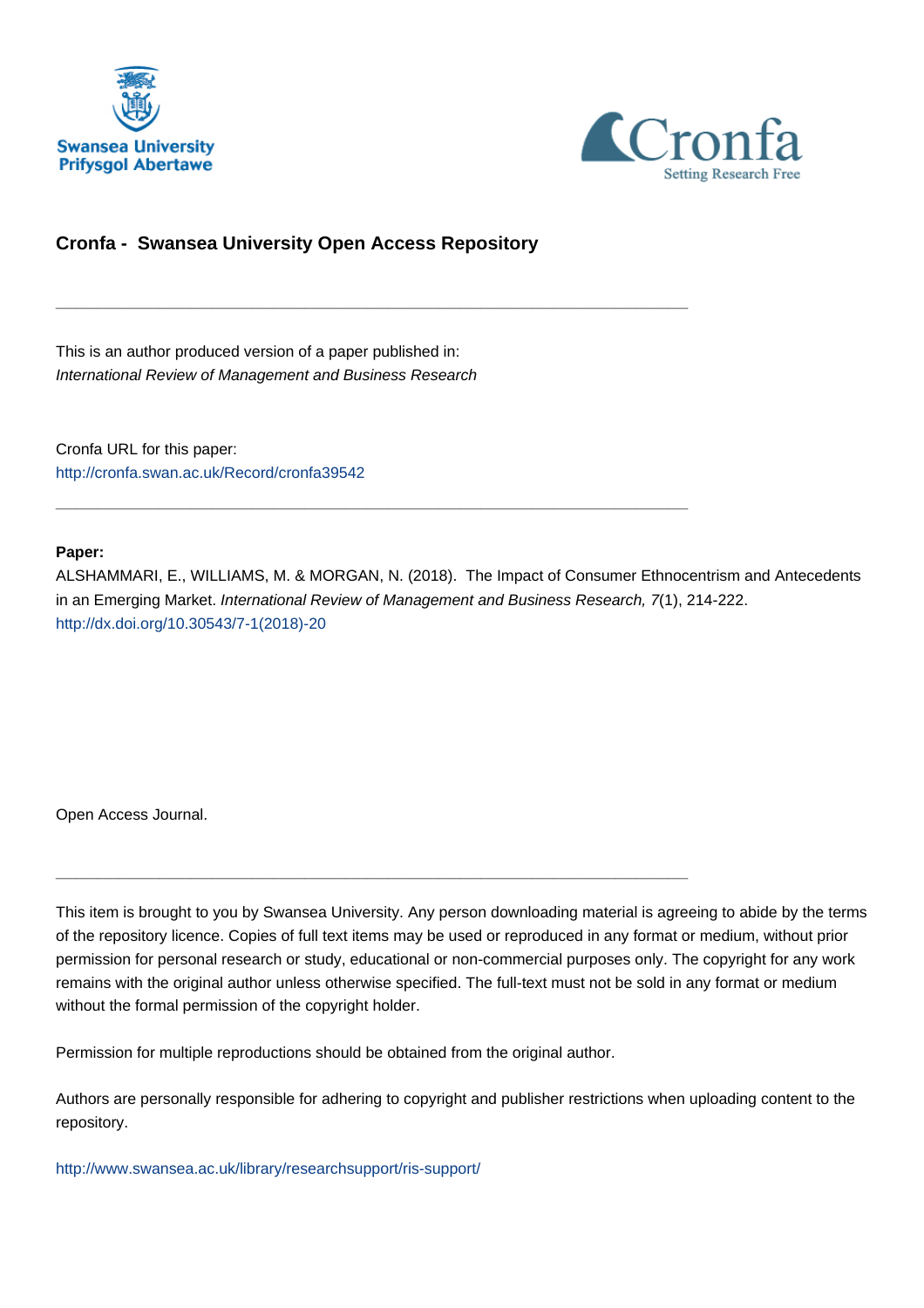



# **Cronfa - Swansea University Open Access Repository**

\_\_\_\_\_\_\_\_\_\_\_\_\_\_\_\_\_\_\_\_\_\_\_\_\_\_\_\_\_\_\_\_\_\_\_\_\_\_\_\_\_\_\_\_\_\_\_\_\_\_\_\_\_\_\_\_\_\_\_\_\_

\_\_\_\_\_\_\_\_\_\_\_\_\_\_\_\_\_\_\_\_\_\_\_\_\_\_\_\_\_\_\_\_\_\_\_\_\_\_\_\_\_\_\_\_\_\_\_\_\_\_\_\_\_\_\_\_\_\_\_\_\_

This is an author produced version of a paper published in: International Review of Management and Business Research

Cronfa URL for this paper: <http://cronfa.swan.ac.uk/Record/cronfa39542>

# **Paper:**

ALSHAMMARI, E., WILLIAMS, M. & MORGAN, N. (2018). The Impact of Consumer Ethnocentrism and Antecedents in an Emerging Market. International Review of Management and Business Research, 7(1), 214-222. [http://dx.doi.org/10.30543/7-1\(2018\)-20](http://dx.doi.org/10.30543/7-1(2018)-20)

Open Access Journal.

This item is brought to you by Swansea University. Any person downloading material is agreeing to abide by the terms of the repository licence. Copies of full text items may be used or reproduced in any format or medium, without prior permission for personal research or study, educational or non-commercial purposes only. The copyright for any work remains with the original author unless otherwise specified. The full-text must not be sold in any format or medium without the formal permission of the copyright holder.

Permission for multiple reproductions should be obtained from the original author.

\_\_\_\_\_\_\_\_\_\_\_\_\_\_\_\_\_\_\_\_\_\_\_\_\_\_\_\_\_\_\_\_\_\_\_\_\_\_\_\_\_\_\_\_\_\_\_\_\_\_\_\_\_\_\_\_\_\_\_\_\_

Authors are personally responsible for adhering to copyright and publisher restrictions when uploading content to the repository.

[http://www.swansea.ac.uk/library/researchsupport/ris-support/](http://www.swansea.ac.uk/library/researchsupport/ris-support/ )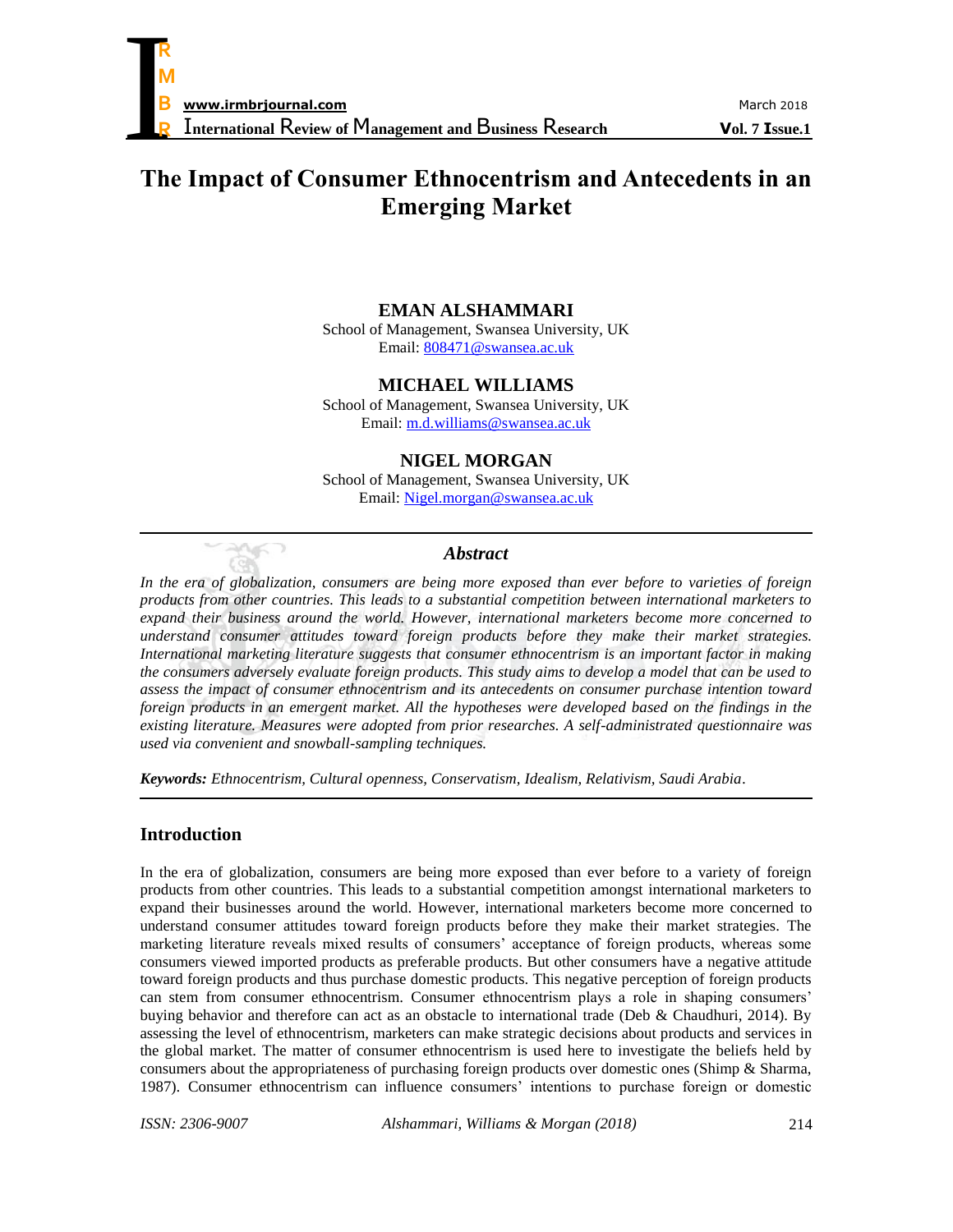

# **The Impact of Consumer Ethnocentrism and Antecedents in an Emerging Market**

# **EMAN ALSHAMMARI**

School of Management, Swansea University, UK Email: 808471@swansea.ac.uk

# **MICHAEL WILLIAMS**

School of Management, Swansea University, UK Email: m.d.williams@swansea.ac.uk

## **NIGEL MORGAN**

School of Management, Swansea University, UK Email: Nigel.morgan@swansea.ac.uk

# *Abstract*

*In the era of globalization, consumers are being more exposed than ever before to varieties of foreign products from other countries. This leads to a substantial competition between international marketers to expand their business around the world. However, international marketers become more concerned to understand consumer attitudes toward foreign products before they make their market strategies. International marketing literature suggests that consumer ethnocentrism is an important factor in making the consumers adversely evaluate foreign products. This study aims to develop a model that can be used to assess the impact of consumer ethnocentrism and its antecedents on consumer purchase intention toward foreign products in an emergent market. All the hypotheses were developed based on the findings in the existing literature. Measures were adopted from prior researches. A self-administrated questionnaire was used via convenient and snowball-sampling techniques.*

*Keywords: Ethnocentrism, Cultural openness, Conservatism, Idealism, Relativism, Saudi Arabia.*

## **Introduction**

In the era of globalization, consumers are being more exposed than ever before to a variety of foreign products from other countries. This leads to a substantial competition amongst international marketers to expand their businesses around the world. However, international marketers become more concerned to understand consumer attitudes toward foreign products before they make their market strategies. The marketing literature reveals mixed results of consumers" acceptance of foreign products, whereas some consumers viewed imported products as preferable products. But other consumers have a negative attitude toward foreign products and thus purchase domestic products. This negative perception of foreign products can stem from consumer ethnocentrism. Consumer ethnocentrism plays a role in shaping consumers" buying behavior and therefore can act as an obstacle to international trade (Deb & Chaudhuri, 2014). By assessing the level of ethnocentrism, marketers can make strategic decisions about products and services in the global market. The matter of consumer ethnocentrism is used here to investigate the beliefs held by consumers about the appropriateness of purchasing foreign products over domestic ones (Shimp & Sharma, 1987). Consumer ethnocentrism can influence consumers" intentions to purchase foreign or domestic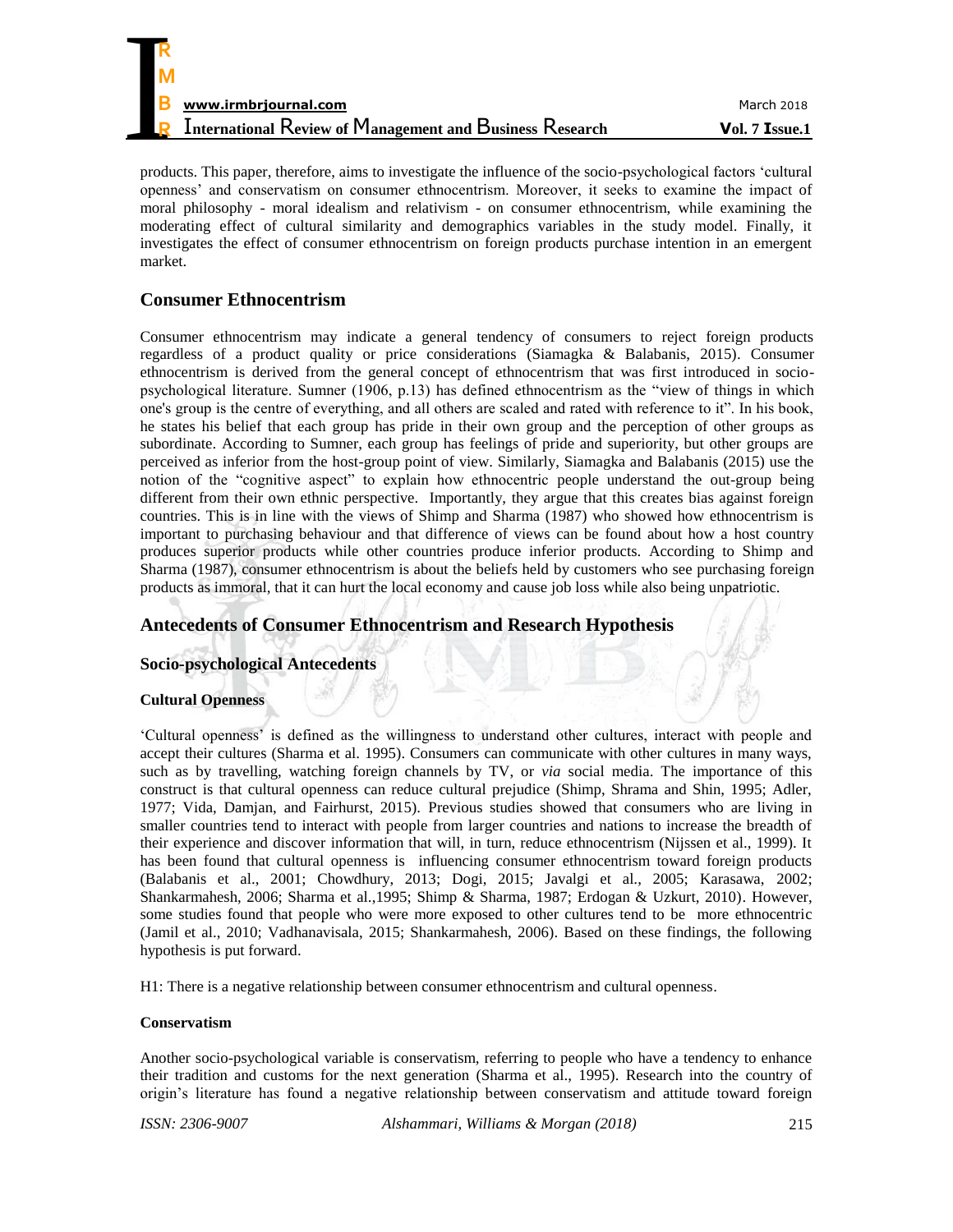| R                                                               |                |
|-----------------------------------------------------------------|----------------|
| M                                                               |                |
| B<br>www.irmbrjournal.com                                       | March 2018     |
| <b>International Review of Management and Business Research</b> | Vol. 7 Issue.1 |

products. This paper, therefore, aims to investigate the influence of the socio-psychological factors "cultural openness" and conservatism on consumer ethnocentrism. Moreover, it seeks to examine the impact of moral philosophy - moral idealism and relativism - on consumer ethnocentrism, while examining the moderating effect of cultural similarity and demographics variables in the study model. Finally, it investigates the effect of consumer ethnocentrism on foreign products purchase intention in an emergent market.

# **Consumer Ethnocentrism**

Consumer ethnocentrism may indicate a general tendency of consumers to reject foreign products regardless of a product quality or price considerations (Siamagka & Balabanis, 2015). Consumer ethnocentrism is derived from the general concept of ethnocentrism that was first introduced in sociopsychological literature. Sumner (1906, p.13) has defined ethnocentrism as the "view of things in which one's group is the centre of everything, and all others are scaled and rated with reference to it". In his book, he states his belief that each group has pride in their own group and the perception of other groups as subordinate. According to Sumner, each group has feelings of pride and superiority, but other groups are perceived as inferior from the host-group point of view. Similarly, Siamagka and Balabanis (2015) use the notion of the "cognitive aspect" to explain how ethnocentric people understand the out-group being different from their own ethnic perspective. Importantly, they argue that this creates bias against foreign countries. This is in line with the views of Shimp and Sharma (1987) who showed how ethnocentrism is important to purchasing behaviour and that difference of views can be found about how a host country produces superior products while other countries produce inferior products. According to Shimp and Sharma (1987), consumer ethnocentrism is about the beliefs held by customers who see purchasing foreign products as immoral, that it can hurt the local economy and cause job loss while also being unpatriotic.

# **Antecedents of Consumer Ethnocentrism and Research Hypothesis**

# **Socio-psychological Antecedents**

## **Cultural Openness**

"Cultural openness" is defined as the willingness to understand other cultures, interact with people and accept their cultures (Sharma et al. 1995). Consumers can communicate with other cultures in many ways, such as by travelling, watching foreign channels by TV, or *via* social media. The importance of this construct is that cultural openness can reduce cultural prejudice (Shimp, Shrama and Shin, 1995; Adler, 1977; Vida, Damjan, and Fairhurst, 2015). Previous studies showed that consumers who are living in smaller countries tend to interact with people from larger countries and nations to increase the breadth of their experience and discover information that will, in turn, reduce ethnocentrism (Nijssen et al., 1999). It has been found that cultural openness is influencing consumer ethnocentrism toward foreign products (Balabanis et al., 2001; Chowdhury, 2013; Dogi, 2015; Javalgi et al., 2005; Karasawa, 2002; Shankarmahesh, 2006; Sharma et al.,1995; Shimp & Sharma, 1987; Erdogan & Uzkurt, 2010). However, some studies found that people who were more exposed to other cultures tend to be more ethnocentric (Jamil et al., 2010; Vadhanavisala, 2015; Shankarmahesh, 2006). Based on these findings, the following hypothesis is put forward.

H1: There is a negative relationship between consumer ethnocentrism and cultural openness.

## **Conservatism**

Another socio-psychological variable is conservatism, referring to people who have a tendency to enhance their tradition and customs for the next generation (Sharma et al., 1995). Research into the country of origin"s literature has found a negative relationship between conservatism and attitude toward foreign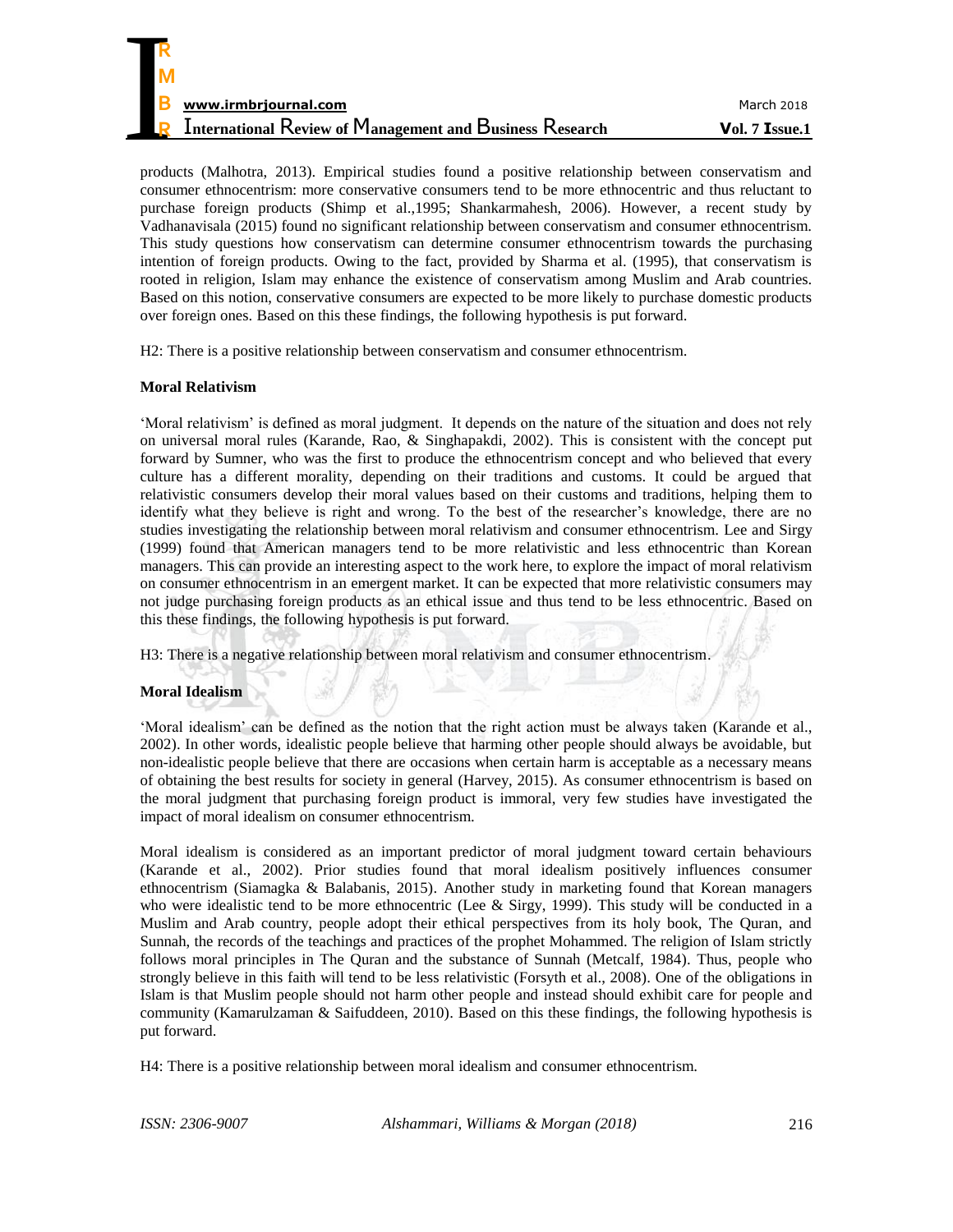| R                                                               |                  |
|-----------------------------------------------------------------|------------------|
| M                                                               |                  |
| B<br>www.irmbrjournal.com                                       | March 2018       |
| <b>International Review of Management and Business Research</b> | $Vol. 7$ Issue.1 |

products (Malhotra, 2013). Empirical studies found a positive relationship between conservatism and consumer ethnocentrism: more conservative consumers tend to be more ethnocentric and thus reluctant to purchase foreign products (Shimp et al.,1995; Shankarmahesh, 2006). However, a recent study by Vadhanavisala (2015) found no significant relationship between conservatism and consumer ethnocentrism. This study questions how conservatism can determine consumer ethnocentrism towards the purchasing intention of foreign products. Owing to the fact, provided by Sharma et al. (1995), that conservatism is rooted in religion, Islam may enhance the existence of conservatism among Muslim and Arab countries. Based on this notion, conservative consumers are expected to be more likely to purchase domestic products over foreign ones. Based on this these findings, the following hypothesis is put forward.

H2: There is a positive relationship between conservatism and consumer ethnocentrism.

# **Moral Relativism**

"Moral relativism" is defined as moral judgment. It depends on the nature of the situation and does not rely on universal moral rules (Karande, Rao, & Singhapakdi, 2002). This is consistent with the concept put forward by Sumner, who was the first to produce the ethnocentrism concept and who believed that every culture has a different morality, depending on their traditions and customs. It could be argued that relativistic consumers develop their moral values based on their customs and traditions, helping them to identify what they believe is right and wrong. To the best of the researcher"s knowledge, there are no studies investigating the relationship between moral relativism and consumer ethnocentrism. Lee and Sirgy (1999) found that American managers tend to be more relativistic and less ethnocentric than Korean managers. This can provide an interesting aspect to the work here, to explore the impact of moral relativism on consumer ethnocentrism in an emergent market. It can be expected that more relativistic consumers may not judge purchasing foreign products as an ethical issue and thus tend to be less ethnocentric. Based on this these findings, the following hypothesis is put forward.

H3: There is a negative relationship between moral relativism and consumer ethnocentrism.

## **Moral Idealism**

"Moral idealism" can be defined as the notion that the right action must be always taken (Karande et al., 2002). In other words, idealistic people believe that harming other people should always be avoidable, but non-idealistic people believe that there are occasions when certain harm is acceptable as a necessary means of obtaining the best results for society in general (Harvey, 2015). As consumer ethnocentrism is based on the moral judgment that purchasing foreign product is immoral, very few studies have investigated the impact of moral idealism on consumer ethnocentrism.

Moral idealism is considered as an important predictor of moral judgment toward certain behaviours (Karande et al., 2002). Prior studies found that moral idealism positively influences consumer ethnocentrism (Siamagka & Balabanis, 2015). Another study in marketing found that Korean managers who were idealistic tend to be more ethnocentric (Lee  $&$  Sirgy, 1999). This study will be conducted in a Muslim and Arab country, people adopt their ethical perspectives from its holy book, The Quran, and Sunnah, the records of the teachings and practices of the prophet Mohammed. The religion of Islam strictly follows moral principles in The Quran and the substance of Sunnah (Metcalf, 1984). Thus, people who strongly believe in this faith will tend to be less relativistic (Forsyth et al., 2008). One of the obligations in Islam is that Muslim people should not harm other people and instead should exhibit care for people and community (Kamarulzaman & Saifuddeen, 2010). Based on this these findings, the following hypothesis is put forward.

H4: There is a positive relationship between moral idealism and consumer ethnocentrism.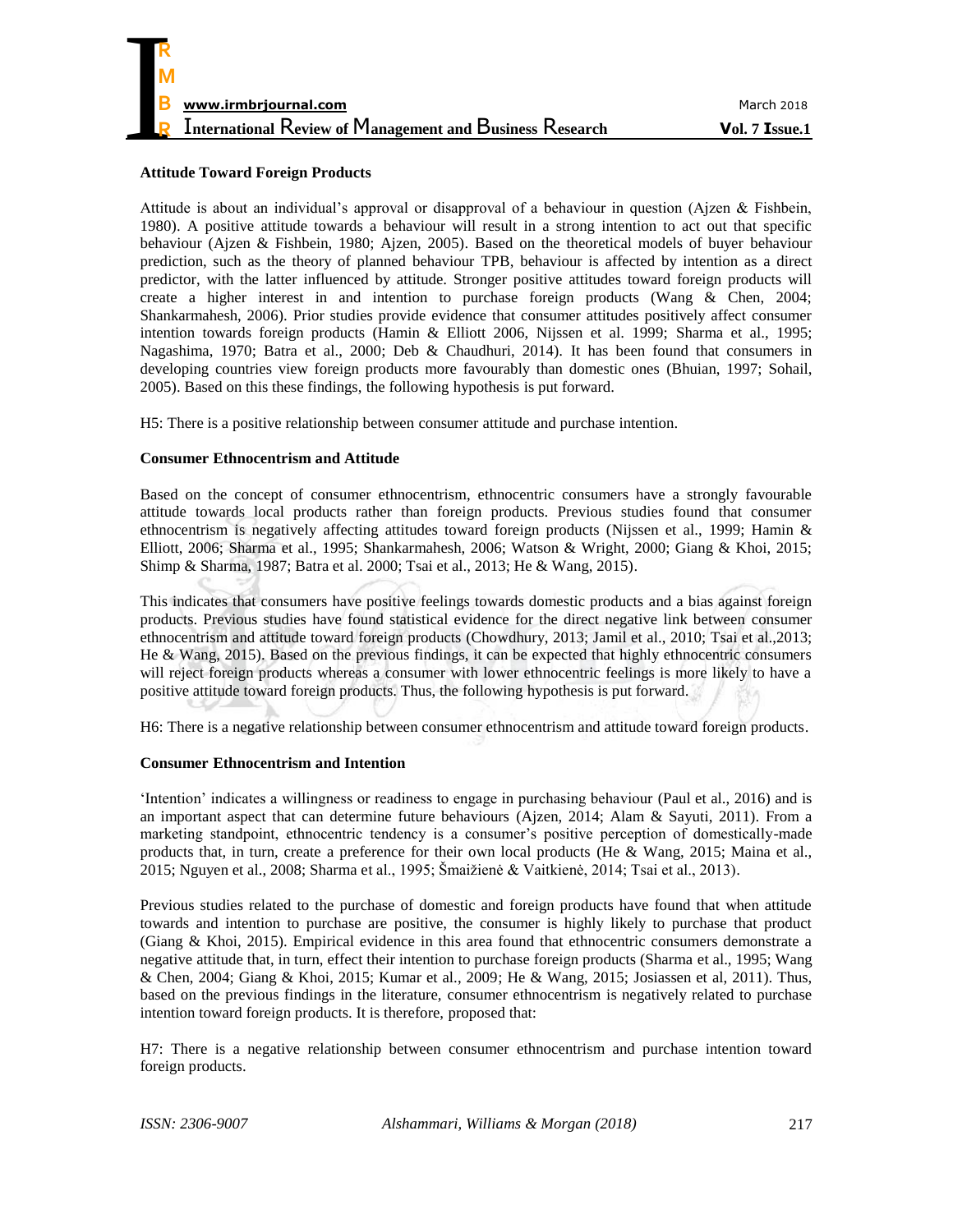

#### **Attitude Toward Foreign Products**

Attitude is about an individual"s approval or disapproval of a behaviour in question (Ajzen & Fishbein, 1980). A positive attitude towards a behaviour will result in a strong intention to act out that specific behaviour (Ajzen & Fishbein, 1980; Ajzen, 2005). Based on the theoretical models of buyer behaviour prediction, such as the theory of planned behaviour TPB, behaviour is affected by intention as a direct predictor, with the latter influenced by attitude. Stronger positive attitudes toward foreign products will create a higher interest in and intention to purchase foreign products (Wang & Chen, 2004; Shankarmahesh, 2006). Prior studies provide evidence that consumer attitudes positively affect consumer intention towards foreign products (Hamin & Elliott 2006, Nijssen et al. 1999; Sharma et al., 1995; Nagashima, 1970; Batra et al., 2000; Deb & Chaudhuri, 2014). It has been found that consumers in developing countries view foreign products more favourably than domestic ones (Bhuian, 1997; Sohail, 2005). Based on this these findings, the following hypothesis is put forward.

H5: There is a positive relationship between consumer attitude and purchase intention.

#### **Consumer Ethnocentrism and Attitude**

Based on the concept of consumer ethnocentrism, ethnocentric consumers have a strongly favourable attitude towards local products rather than foreign products. Previous studies found that consumer ethnocentrism is negatively affecting attitudes toward foreign products (Nijssen et al., 1999; Hamin & Elliott, 2006; Sharma et al., 1995; Shankarmahesh, 2006; Watson & Wright, 2000; Giang & Khoi, 2015; Shimp & Sharma, 1987; Batra et al. 2000; Tsai et al., 2013; He & Wang, 2015).

This indicates that consumers have positive feelings towards domestic products and a bias against foreign products. Previous studies have found statistical evidence for the direct negative link between consumer ethnocentrism and attitude toward foreign products (Chowdhury, 2013; Jamil et al., 2010; Tsai et al.,2013; He & Wang, 2015). Based on the previous findings, it can be expected that highly ethnocentric consumers will reject foreign products whereas a consumer with lower ethnocentric feelings is more likely to have a positive attitude toward foreign products. Thus, the following hypothesis is put forward.

H6: There is a negative relationship between consumer ethnocentrism and attitude toward foreign products.

## **Consumer Ethnocentrism and Intention**

"Intention" indicates a willingness or readiness to engage in purchasing behaviour (Paul et al., 2016) and is an important aspect that can determine future behaviours (Ajzen, 2014; Alam & Sayuti, 2011). From a marketing standpoint, ethnocentric tendency is a consumer"s positive perception of domestically-made products that, in turn, create a preference for their own local products (He & Wang, 2015; Maina et al., 2015; Nguyen et al., 2008; Sharma et al., 1995; Šmaižienė & Vaitkienė, 2014; Tsai et al., 2013).

Previous studies related to the purchase of domestic and foreign products have found that when attitude towards and intention to purchase are positive, the consumer is highly likely to purchase that product (Giang & Khoi, 2015). Empirical evidence in this area found that ethnocentric consumers demonstrate a negative attitude that, in turn, effect their intention to purchase foreign products (Sharma et al., 1995; Wang & Chen, 2004; Giang & Khoi, 2015; Kumar et al., 2009; He & Wang, 2015; Josiassen et al, 2011). Thus, based on the previous findings in the literature, consumer ethnocentrism is negatively related to purchase intention toward foreign products. It is therefore, proposed that:

H7: There is a negative relationship between consumer ethnocentrism and purchase intention toward foreign products.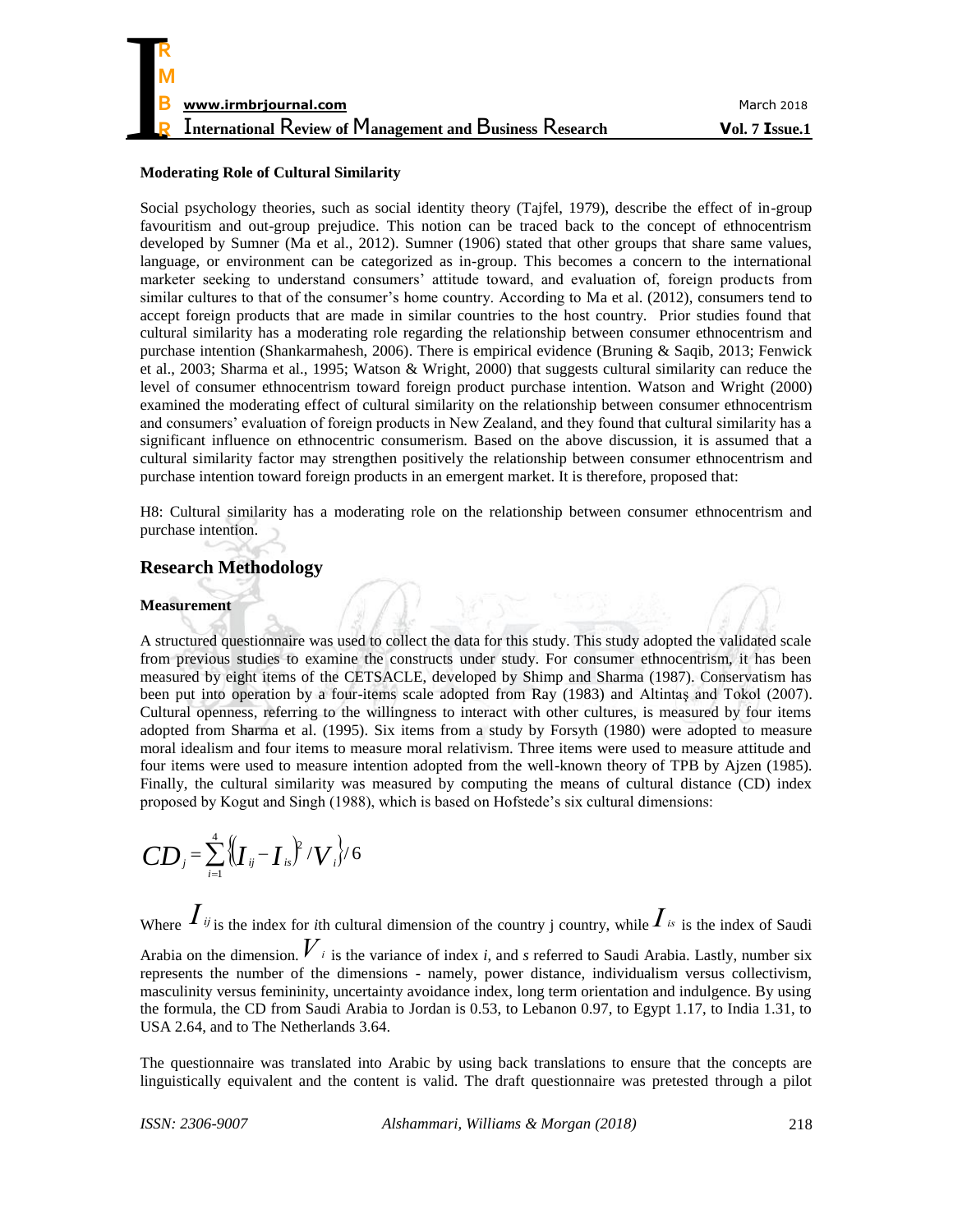

#### **Moderating Role of Cultural Similarity**

Social psychology theories, such as social identity theory (Tajfel, 1979), describe the effect of in-group favouritism and out-group prejudice. This notion can be traced back to the concept of ethnocentrism developed by Sumner (Ma et al., 2012). Sumner (1906) stated that other groups that share same values, language, or environment can be categorized as in-group. This becomes a concern to the international marketer seeking to understand consumers" attitude toward, and evaluation of, foreign products from similar cultures to that of the consumer's home country. According to Ma et al. (2012), consumers tend to accept foreign products that are made in similar countries to the host country. Prior studies found that cultural similarity has a moderating role regarding the relationship between consumer ethnocentrism and purchase intention (Shankarmahesh, 2006). There is empirical evidence (Bruning & Saqib, 2013; Fenwick et al., 2003; Sharma et al., 1995; Watson & Wright, 2000) that suggests cultural similarity can reduce the level of consumer ethnocentrism toward foreign product purchase intention. Watson and Wright (2000) examined the moderating effect of cultural similarity on the relationship between consumer ethnocentrism and consumers" evaluation of foreign products in New Zealand, and they found that cultural similarity has a significant influence on ethnocentric consumerism. Based on the above discussion, it is assumed that a cultural similarity factor may strengthen positively the relationship between consumer ethnocentrism and purchase intention toward foreign products in an emergent market. It is therefore, proposed that:

H8: Cultural similarity has a moderating role on the relationship between consumer ethnocentrism and purchase intention.

## **Research Methodology**

#### **Measurement**

A structured questionnaire was used to collect the data for this study. This study adopted the validated scale from previous studies to examine the constructs under study. For consumer ethnocentrism, it has been measured by eight items of the CETSACLE, developed by Shimp and Sharma (1987). Conservatism has been put into operation by a four-items scale adopted from Ray (1983) and Altintaş and Tokol (2007). Cultural openness, referring to the willingness to interact with other cultures, is measured by four items adopted from Sharma et al. (1995). Six items from a study by Forsyth (1980) were adopted to measure moral idealism and four items to measure moral relativism. Three items were used to measure attitude and four items were used to measure intention adopted from the well-known theory of TPB by Ajzen (1985). Finally, the cultural similarity was measured by computing the means of cultural distance (CD) index proposed by Kogut and Singh (1988), which is based on Hofstede"s six cultural dimensions:

$$
CD_{j} = \sum_{i=1}^{4} \left\langle I_{ij} - I_{is} \right\rangle^{2} / V_{i} \frac{1}{2} / 6
$$

Where  $I_{ij}$  is the index for *i*th cultural dimension of the country j country, while  $I_{is}$  is the index of Saudi Arabia on the dimension. *Vi* is the variance of index *i*, and *s* referred to Saudi Arabia. Lastly, number six represents the number of the dimensions - namely, power distance, individualism versus collectivism, masculinity versus femininity, uncertainty avoidance index, long term orientation and indulgence. By using the formula, the CD from Saudi Arabia to Jordan is 0.53, to Lebanon 0.97, to Egypt 1.17, to India 1.31, to USA 2.64, and to The Netherlands 3.64.

The questionnaire was translated into Arabic by using back translations to ensure that the concepts are linguistically equivalent and the content is valid. The draft questionnaire was pretested through a pilot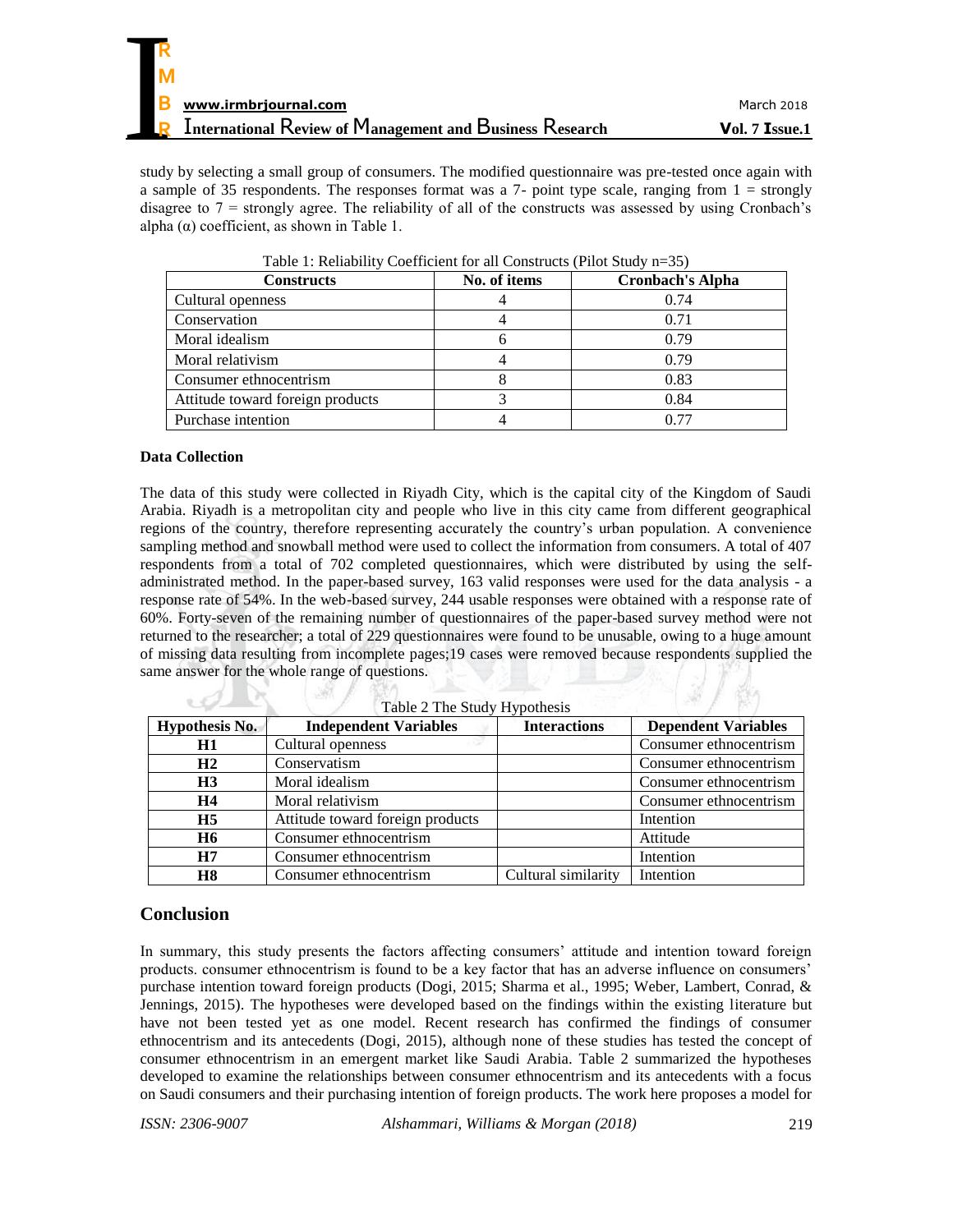study by selecting a small group of consumers. The modified questionnaire was pre-tested once again with a sample of 35 respondents. The responses format was a  $7$ - point type scale, ranging from  $1 =$  strongly disagree to  $7 =$  strongly agree. The reliability of all of the constructs was assessed by using Cronbach's alpha  $(\alpha)$  coefficient, as shown in Table 1.

| - wore in itemwomity; coefficities for will compute we as the beam ; if bey |              |                         |  |  |
|-----------------------------------------------------------------------------|--------------|-------------------------|--|--|
| <b>Constructs</b>                                                           | No. of items | <b>Cronbach's Alpha</b> |  |  |
| Cultural openness                                                           |              | 0.74                    |  |  |
| Conservation                                                                |              | 0.71                    |  |  |
| Moral idealism                                                              |              | 0.79                    |  |  |
| Moral relativism                                                            |              | 0.79                    |  |  |
| Consumer ethnocentrism                                                      |              | 0.83                    |  |  |
| Attitude toward foreign products                                            |              | 0.84                    |  |  |
| Purchase intention                                                          |              | በ 77                    |  |  |

Table 1: Reliability Coefficient for all Constructs (Pilot Study n=35)

## **Data Collection**

The data of this study were collected in Riyadh City, which is the capital city of the Kingdom of Saudi Arabia. Riyadh is a metropolitan city and people who live in this city came from different geographical regions of the country, therefore representing accurately the country"s urban population. A convenience sampling method and snowball method were used to collect the information from consumers. A total of 407 respondents from a total of 702 completed questionnaires, which were distributed by using the selfadministrated method. In the paper-based survey, 163 valid responses were used for the data analysis - a response rate of 54%. In the web-based survey, 244 usable responses were obtained with a response rate of 60%. Forty-seven of the remaining number of questionnaires of the paper-based survey method were not returned to the researcher; a total of 229 questionnaires were found to be unusable, owing to a huge amount of missing data resulting from incomplete pages;19 cases were removed because respondents supplied the same answer for the whole range of questions.

| <b>Hypothesis No.</b> | <b>Independent Variables</b>     | <b>Interactions</b> | <b>Dependent Variables</b> |
|-----------------------|----------------------------------|---------------------|----------------------------|
| H1                    | Cultural openness                |                     | Consumer ethnocentrism     |
| H <sub>2</sub>        | Conservatism                     |                     | Consumer ethnocentrism     |
| H <sub>3</sub>        | Moral idealism                   |                     | Consumer ethnocentrism     |
| H4                    | Moral relativism                 |                     | Consumer ethnocentrism     |
| H <sub>5</sub>        | Attitude toward foreign products |                     | Intention                  |
| <b>H6</b>             | Consumer ethnocentrism           |                     | Attitude                   |
| H7                    | Consumer ethnocentrism           |                     | Intention                  |
| <b>H8</b>             | Consumer ethnocentrism           | Cultural similarity | Intention                  |

Table 2 The Study Hypothesis

# **Conclusion**

In summary, this study presents the factors affecting consumers" attitude and intention toward foreign products. consumer ethnocentrism is found to be a key factor that has an adverse influence on consumers" purchase intention toward foreign products (Dogi, 2015; Sharma et al., 1995; Weber, Lambert, Conrad, & Jennings, 2015). The hypotheses were developed based on the findings within the existing literature but have not been tested yet as one model. Recent research has confirmed the findings of consumer ethnocentrism and its antecedents (Dogi, 2015), although none of these studies has tested the concept of consumer ethnocentrism in an emergent market like Saudi Arabia. Table 2 summarized the hypotheses developed to examine the relationships between consumer ethnocentrism and its antecedents with a focus on Saudi consumers and their purchasing intention of foreign products. The work here proposes a model for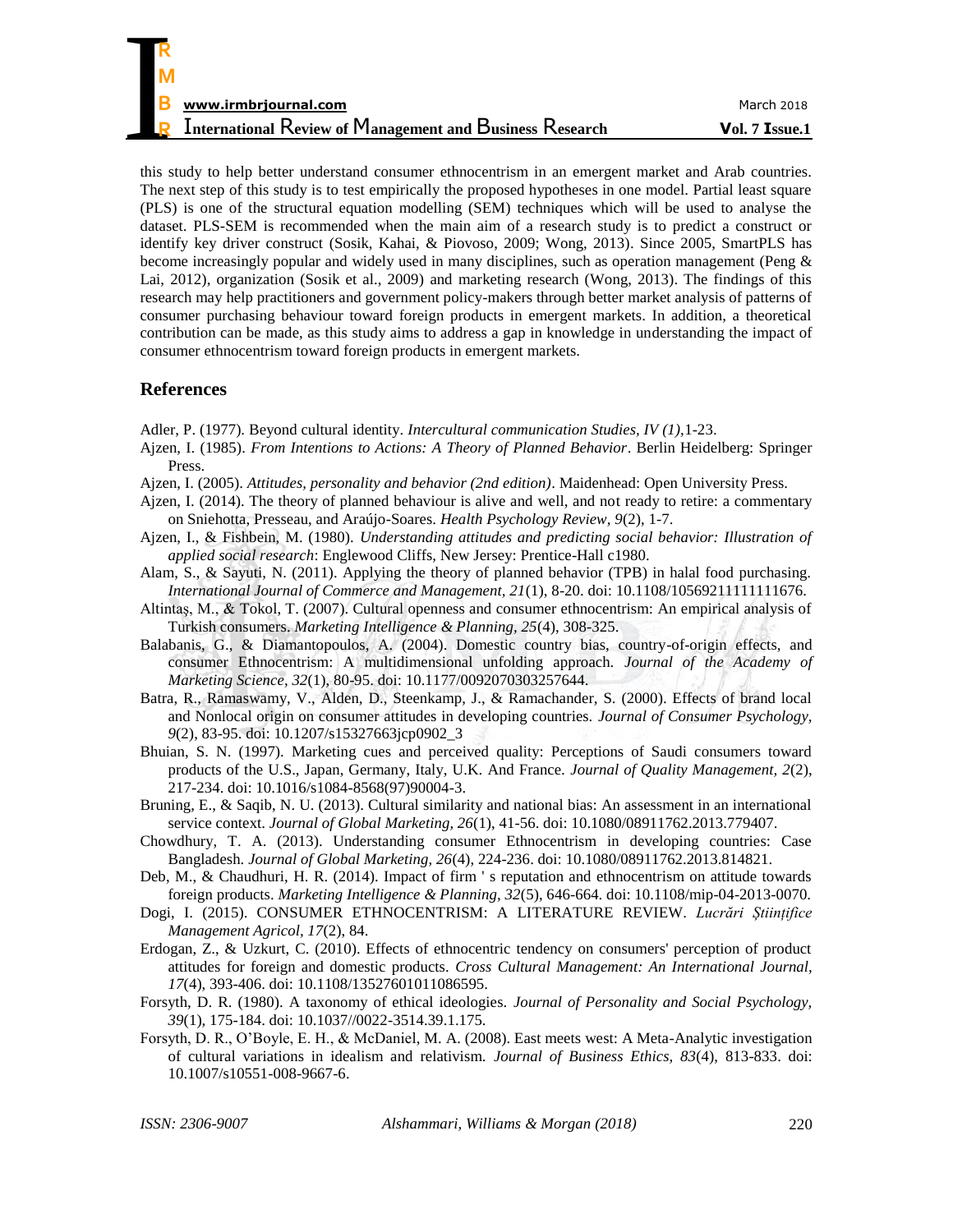| M                                                               |                |
|-----------------------------------------------------------------|----------------|
| B<br>www.irmbrjournal.com                                       | March 2018     |
| <b>International Review of Management and Business Research</b> | Vol. 7 Issue.1 |

this study to help better understand consumer ethnocentrism in an emergent market and Arab countries. The next step of this study is to test empirically the proposed hypotheses in one model. Partial least square (PLS) is one of the structural equation modelling (SEM) techniques which will be used to analyse the dataset. PLS-SEM is recommended when the main aim of a research study is to predict a construct or identify key driver construct (Sosik, Kahai, & Piovoso, 2009; Wong, 2013). Since 2005, SmartPLS has become increasingly popular and widely used in many disciplines, such as operation management (Peng & Lai, 2012), organization (Sosik et al., 2009) and marketing research (Wong, 2013). The findings of this research may help practitioners and government policy-makers through better market analysis of patterns of consumer purchasing behaviour toward foreign products in emergent markets. In addition, a theoretical contribution can be made, as this study aims to address a gap in knowledge in understanding the impact of consumer ethnocentrism toward foreign products in emergent markets.

# **References**

- Adler, P. (1977). Beyond cultural identity. *Intercultural communication Studies, IV (1),*1-23.
- Ajzen, I. (1985). *From Intentions to Actions: A Theory of Planned Behavior*. Berlin Heidelberg: Springer Press.
- Ajzen, I. (2005). *Attitudes, personality and behavior (2nd edition)*. Maidenhead: Open University Press.
- Ajzen, I. (2014). The theory of planned behaviour is alive and well, and not ready to retire: a commentary on Sniehotta, Presseau, and Araújo-Soares. *Health Psychology Review, 9*(2), 1-7.
- Ajzen, I., & Fishbein, M. (1980). *Understanding attitudes and predicting social behavior: Illustration of applied social research*: Englewood Cliffs, New Jersey: Prentice-Hall c1980.
- Alam, S., & Sayuti, N. (2011). Applying the theory of planned behavior (TPB) in halal food purchasing. *International Journal of Commerce and Management, 21*(1), 8-20. doi: 10.1108/10569211111111676.
- Altintaş, M., & Tokol, T. (2007). Cultural openness and consumer ethnocentrism: An empirical analysis of Turkish consumers. *Marketing Intelligence & Planning, 25*(4), 308-325.
- Balabanis, G., & Diamantopoulos, A. (2004). Domestic country bias, country-of-origin effects, and consumer Ethnocentrism: A multidimensional unfolding approach. *Journal of the Academy of Marketing Science, 32*(1), 80-95. doi: 10.1177/0092070303257644.
- Batra, R., Ramaswamy, V., Alden, D., Steenkamp, J., & Ramachander, S. (2000). Effects of brand local and Nonlocal origin on consumer attitudes in developing countries. *Journal of Consumer Psychology, 9*(2), 83-95. doi: 10.1207/s15327663jcp0902\_3
- Bhuian, S. N. (1997). Marketing cues and perceived quality: Perceptions of Saudi consumers toward products of the U.S., Japan, Germany, Italy, U.K. And France. *Journal of Quality Management, 2*(2), 217-234. doi: 10.1016/s1084-8568(97)90004-3.
- Bruning, E., & Saqib, N. U. (2013). Cultural similarity and national bias: An assessment in an international service context. *Journal of Global Marketing, 26*(1), 41-56. doi: 10.1080/08911762.2013.779407.
- Chowdhury, T. A. (2013). Understanding consumer Ethnocentrism in developing countries: Case Bangladesh. *Journal of Global Marketing, 26*(4), 224-236. doi: 10.1080/08911762.2013.814821.
- Deb, M., & Chaudhuri, H. R. (2014). Impact of firm ' s reputation and ethnocentrism on attitude towards foreign products. *Marketing Intelligence & Planning, 32*(5), 646-664. doi: 10.1108/mip-04-2013-0070.
- Dogi, I. (2015). CONSUMER ETHNOCENTRISM: A LITERATURE REVIEW. *Lucrări Științifice Management Agricol, 17*(2), 84.
- Erdogan, Z., & Uzkurt, C. (2010). Effects of ethnocentric tendency on consumers' perception of product attitudes for foreign and domestic products. *Cross Cultural Management: An International Journal, 17*(4), 393-406. doi: 10.1108/13527601011086595.
- Forsyth, D. R. (1980). A taxonomy of ethical ideologies. *Journal of Personality and Social Psychology, 39*(1), 175-184. doi: 10.1037//0022-3514.39.1.175.
- Forsyth, D. R., O"Boyle, E. H., & McDaniel, M. A. (2008). East meets west: A Meta-Analytic investigation of cultural variations in idealism and relativism. *Journal of Business Ethics, 83*(4), 813-833. doi: 10.1007/s10551-008-9667-6.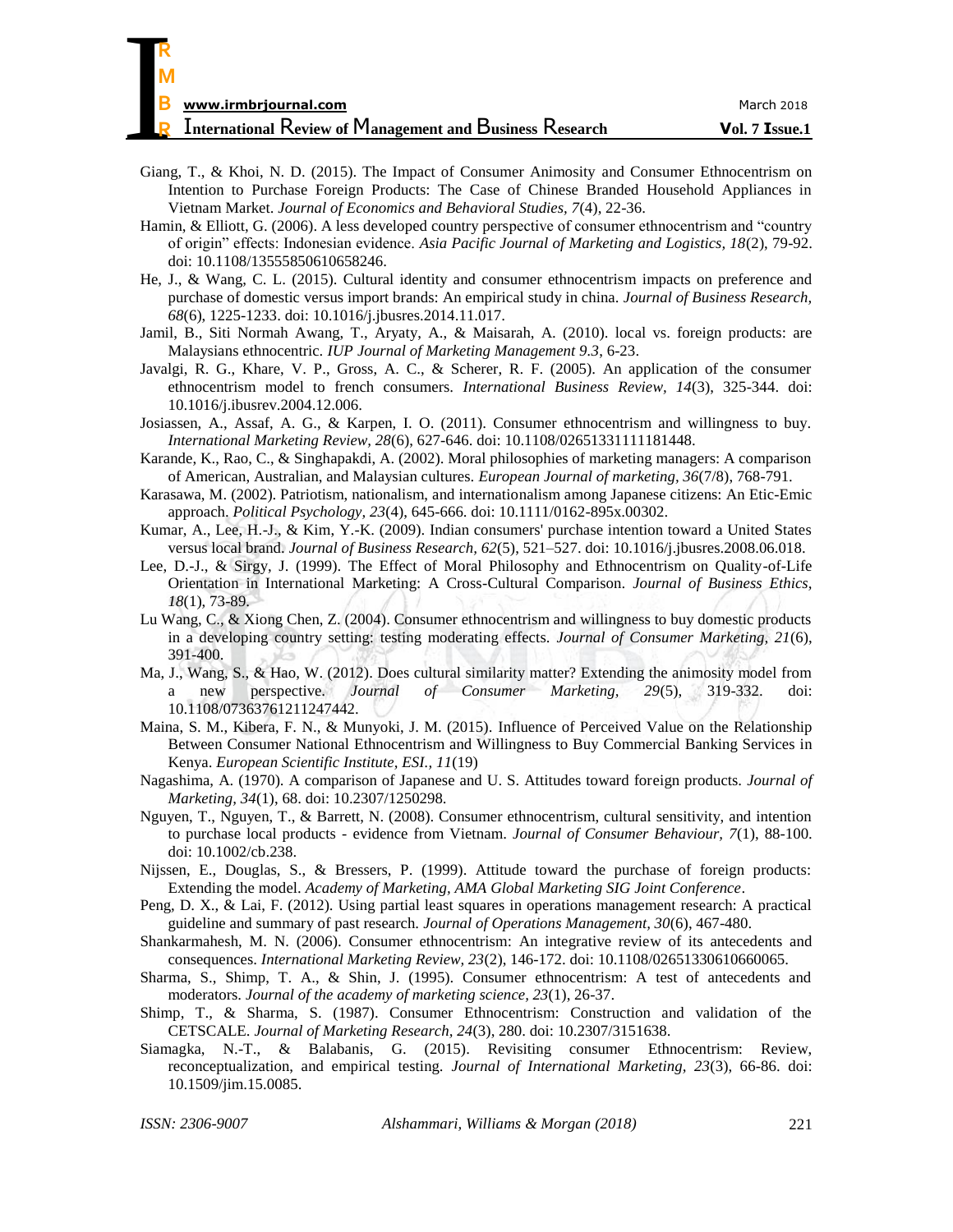| R                                                               |                  |
|-----------------------------------------------------------------|------------------|
| M                                                               |                  |
| B<br>www.irmbrjournal.com                                       | March 2018       |
| <b>International Review of Management and Business Research</b> | $Vol. 7$ Issue.1 |

- Giang, T., & Khoi, N. D. (2015). The Impact of Consumer Animosity and Consumer Ethnocentrism on Intention to Purchase Foreign Products: The Case of Chinese Branded Household Appliances in Vietnam Market. *Journal of Economics and Behavioral Studies, 7*(4), 22-36.
- Hamin, & Elliott, G. (2006). A less developed country perspective of consumer ethnocentrism and "country of origin" effects: Indonesian evidence. *Asia Pacific Journal of Marketing and Logistics, 18*(2), 79-92. doi: 10.1108/13555850610658246.
- He, J., & Wang, C. L. (2015). Cultural identity and consumer ethnocentrism impacts on preference and purchase of domestic versus import brands: An empirical study in china. *Journal of Business Research, 68*(6), 1225-1233. doi: 10.1016/j.jbusres.2014.11.017.
- Jamil, B., Siti Normah Awang, T., Aryaty, A., & Maisarah, A. (2010). local vs. foreign products: are Malaysians ethnocentric. *IUP Journal of Marketing Management 9.3*, 6-23.
- Javalgi, R. G., Khare, V. P., Gross, A. C., & Scherer, R. F. (2005). An application of the consumer ethnocentrism model to french consumers. *International Business Review, 14*(3), 325-344. doi: 10.1016/j.ibusrev.2004.12.006.
- Josiassen, A., Assaf, A. G., & Karpen, I. O. (2011). Consumer ethnocentrism and willingness to buy. *International Marketing Review, 28*(6), 627-646. doi: 10.1108/02651331111181448.
- Karande, K., Rao, C., & Singhapakdi, A. (2002). Moral philosophies of marketing managers: A comparison of American, Australian, and Malaysian cultures. *European Journal of marketing, 36*(7/8), 768-791.
- Karasawa, M. (2002). Patriotism, nationalism, and internationalism among Japanese citizens: An Etic-Emic approach. *Political Psychology, 23*(4), 645-666. doi: 10.1111/0162-895x.00302.
- Kumar, A., Lee, H.-J., & Kim, Y.-K. (2009). Indian consumers' purchase intention toward a United States versus local brand. *Journal of Business Research, 62*(5), 521–527. doi: 10.1016/j.jbusres.2008.06.018.
- Lee, D.-J., & Sirgy, J. (1999). The Effect of Moral Philosophy and Ethnocentrism on Quality-of-Life Orientation in International Marketing: A Cross-Cultural Comparison. *Journal of Business Ethics, 18*(1), 73-89.
- Lu Wang, C., & Xiong Chen, Z. (2004). Consumer ethnocentrism and willingness to buy domestic products in a developing country setting: testing moderating effects. *Journal of Consumer Marketing, 21*(6), 391-400.
- Ma, J., Wang, S., & Hao, W. (2012). Does cultural similarity matter? Extending the animosity model from a new perspective. *Journal of Consumer Marketing, 29*(5), 319-332. doi: 10.1108/07363761211247442.
- Maina, S. M., Kibera, F. N., & Munyoki, J. M. (2015). Influence of Perceived Value on the Relationship Between Consumer National Ethnocentrism and Willingness to Buy Commercial Banking Services in Kenya. *European Scientific Institute, ESI., 11*(19)
- Nagashima, A. (1970). A comparison of Japanese and U. S. Attitudes toward foreign products. *Journal of Marketing, 34*(1), 68. doi: 10.2307/1250298.
- Nguyen, T., Nguyen, T., & Barrett, N. (2008). Consumer ethnocentrism, cultural sensitivity, and intention to purchase local products - evidence from Vietnam. *Journal of Consumer Behaviour, 7*(1), 88-100. doi: 10.1002/cb.238.
- Nijssen, E., Douglas, S., & Bressers, P. (1999). Attitude toward the purchase of foreign products: Extending the model. *Academy of Marketing, AMA Global Marketing SIG Joint Conference*.
- Peng, D. X., & Lai, F. (2012). Using partial least squares in operations management research: A practical guideline and summary of past research. *Journal of Operations Management, 30*(6), 467-480.
- Shankarmahesh, M. N. (2006). Consumer ethnocentrism: An integrative review of its antecedents and consequences. *International Marketing Review, 23*(2), 146-172. doi: 10.1108/02651330610660065.
- Sharma, S., Shimp, T. A., & Shin, J. (1995). Consumer ethnocentrism: A test of antecedents and moderators. *Journal of the academy of marketing science, 23*(1), 26-37.
- Shimp, T., & Sharma, S. (1987). Consumer Ethnocentrism: Construction and validation of the CETSCALE. *Journal of Marketing Research, 24*(3), 280. doi: 10.2307/3151638.
- Siamagka, N.-T., & Balabanis, G. (2015). Revisiting consumer Ethnocentrism: Review, reconceptualization, and empirical testing. *Journal of International Marketing, 23*(3), 66-86. doi: 10.1509/jim.15.0085.